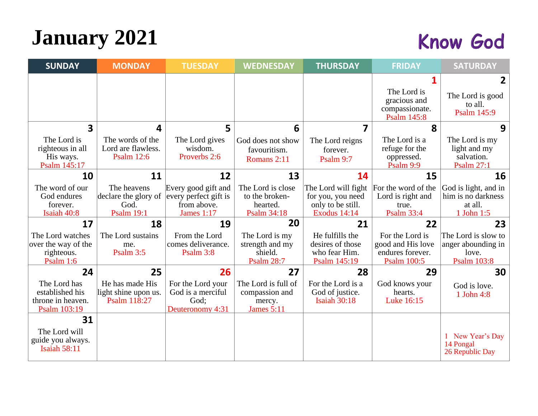# **January 2021**

#### **Know God**

| <b>SUNDAY</b>                                                        | <b>MONDAY</b>                                                    | <b>TUESDAY</b>                                                                   | <b>WEDNESDAY</b>                                                     | <b>THURSDAY</b>                                                                      | <b>FRIDAY</b>                                                                  | <b>SATURDAY</b>                                                          |
|----------------------------------------------------------------------|------------------------------------------------------------------|----------------------------------------------------------------------------------|----------------------------------------------------------------------|--------------------------------------------------------------------------------------|--------------------------------------------------------------------------------|--------------------------------------------------------------------------|
|                                                                      |                                                                  |                                                                                  |                                                                      |                                                                                      | The Lord is<br>gracious and<br>compassionate.                                  | 2<br>The Lord is good<br>to all.<br>Psalm 145:9                          |
| $\overline{\mathbf{3}}$                                              | 4                                                                | 5                                                                                | 6                                                                    | 7                                                                                    | <b>Psalm 145:8</b><br>8                                                        | 9                                                                        |
| The Lord is<br>righteous in all<br>His ways.<br>Psalm 145:17         | The words of the<br>Lord are flawless.<br><b>Psalm 12:6</b>      | The Lord gives<br>wisdom.<br>Proverbs 2:6                                        | God does not show<br>favouritism.<br>Romans 2:11                     | The Lord reigns<br>forever.<br>Psalm 9:7                                             | The Lord is a<br>refuge for the<br>oppressed.<br>Psalm 9:9                     | The Lord is my<br>light and my<br>salvation.<br><b>Psalm 27:1</b>        |
| 10                                                                   | 11                                                               | 12                                                                               | 13                                                                   | 14                                                                                   | 15                                                                             | 16                                                                       |
| The word of our<br>God endures<br>forever.<br>Isaiah 40:8            | The heavens<br>declare the glory of<br>God.<br><b>Psalm 19:1</b> | Every good gift and<br>every perfect gift is<br>from above.<br><b>James 1:17</b> | The Lord is close<br>to the broken-<br>hearted.<br>Psalm 34:18       | The Lord will fight<br>for you, you need<br>only to be still.<br><b>Exodus 14:14</b> | For the word of the<br>Lord is right and<br>true.<br><b>Psalm 33:4</b>         | God is light, and in<br>him is no darkness<br>at all.<br>1 John 1:5      |
| 17                                                                   | 18                                                               | 19                                                                               | 20                                                                   | 21                                                                                   | 22                                                                             | 23                                                                       |
| The Lord watches<br>over the way of the<br>righteous.<br>Psalm $1:6$ | The Lord sustains<br>me.<br>Psalm 3:5                            | From the Lord<br>comes deliverance.<br>Psalm 3:8                                 | The Lord is my<br>strength and my<br>shield.<br><b>Psalm 28:7</b>    | He fulfills the<br>desires of those<br>who fear Him.<br>Psalm 145:19                 | For the Lord is<br>good and His love<br>endures forever.<br><b>Psalm 100:5</b> | The Lord is slow to<br>anger abounding in<br>love.<br><b>Psalm 103:8</b> |
| 24                                                                   | 25                                                               | 26                                                                               | 27                                                                   | 28                                                                                   | 29                                                                             | 30                                                                       |
| The Lord has<br>established his<br>throne in heaven.<br>Psalm 103:19 | He has made His<br>light shine upon us.<br>Psalm 118:27          | For the Lord your<br>God is a merciful<br>God;<br>Deuteronomy 4:31               | The Lord is full of<br>compassion and<br>mercy.<br><b>James 5:11</b> | For the Lord is a<br>God of justice.<br><b>Isaiah 30:18</b>                          | God knows your<br>hearts.<br>Luke 16:15                                        | God is love.<br>1 John 4:8                                               |
| 31                                                                   |                                                                  |                                                                                  |                                                                      |                                                                                      |                                                                                |                                                                          |
| The Lord will<br>guide you always.<br><b>Isaiah 58:11</b>            |                                                                  |                                                                                  |                                                                      |                                                                                      |                                                                                | 1 New Year's Day<br>14 Pongal<br>26 Republic Day                         |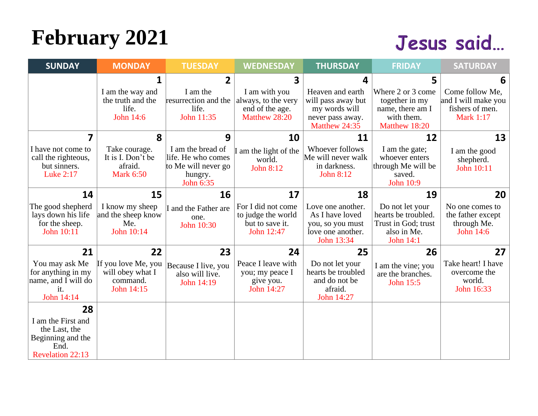# **February 2021**

#### Jesus said...

| <b>SUNDAY</b>                                                                               | <b>MONDAY</b>                                                     | <b>TUESDAY</b>                                                                         | <b>WEDNESDAY</b>                                                          | <b>THURSDAY</b>                                                                              | <b>FRIDAY</b>                                                                             | <b>SATURDAY</b>                                                               |
|---------------------------------------------------------------------------------------------|-------------------------------------------------------------------|----------------------------------------------------------------------------------------|---------------------------------------------------------------------------|----------------------------------------------------------------------------------------------|-------------------------------------------------------------------------------------------|-------------------------------------------------------------------------------|
|                                                                                             | 1                                                                 | $\overline{2}$                                                                         | $\overline{\mathbf{3}}$                                                   | 4                                                                                            | 5                                                                                         | 6                                                                             |
|                                                                                             | I am the way and<br>the truth and the<br>life.<br>John 14:6       | I am the<br>resurrection and the<br>life.<br>John 11:35                                | I am with you<br>always, to the very<br>end of the age.<br>Matthew 28:20  | Heaven and earth<br>will pass away but<br>my words will<br>never pass away.<br>Matthew 24:35 | Where 2 or 3 come<br>together in my<br>name, there am I<br>with them.<br>Matthew 18:20    | Come follow Me,<br>and I will make you<br>fishers of men.<br><b>Mark 1:17</b> |
| 7                                                                                           | 8                                                                 | 9                                                                                      | 10                                                                        | 11                                                                                           | 12                                                                                        | 13                                                                            |
| I have not come to<br>call the righteous,<br>but sinners.<br>Luke 2:17                      | Take courage.<br>It is I. Don't be<br>afraid.<br><b>Mark 6:50</b> | I am the bread of<br>life. He who comes<br>to Me will never go<br>hungry.<br>John 6:35 | I am the light of the<br>world.<br>John 8:12                              | Whoever follows<br>Me will never walk<br>in darkness.<br>John 8:12                           | I am the gate;<br>whoever enters<br>through Me will be<br>saved.<br><b>John 10:9</b>      | I am the good<br>shepherd.<br>John 10:11                                      |
| 14                                                                                          | 15                                                                | 16                                                                                     | 17                                                                        | 18                                                                                           | 19                                                                                        | 20                                                                            |
| The good shepherd<br>lays down his life<br>for the sheep.<br>John 10:11                     | I know my sheep<br>and the sheep know<br>Me.<br>John 10:14        | I and the Father are<br>one.<br>John 10:30                                             | For I did not come<br>to judge the world<br>but to save it.<br>John 12:47 | Love one another.<br>As I have loved<br>you, so you must<br>love one another.<br>John 13:34  | Do not let your<br>hearts be troubled.<br>Trust in God; trust<br>also in Me.<br>John 14:1 | No one comes to<br>the father except<br>through Me.<br>John 14:6              |
| 21                                                                                          | 22                                                                | 23                                                                                     | 24                                                                        | 25                                                                                           | 26                                                                                        | 27                                                                            |
| You may ask Me<br>for anything in my<br>name, and I will do<br>it.<br>John 14:14            | If you love Me, you<br>will obey what I<br>command.<br>John 14:15 | Because I live, you<br>also will live.<br>John 14:19                                   | Peace I leave with<br>you; my peace I<br>give you.<br>John 14:27          | Do not let your<br>hearts be troubled<br>and do not be<br>afraid.<br>John 14:27              | I am the vine; you<br>are the branches.<br>John 15:5                                      | Take heart! I have<br>overcome the<br>world.<br>John 16:33                    |
| 28                                                                                          |                                                                   |                                                                                        |                                                                           |                                                                                              |                                                                                           |                                                                               |
| I am the First and<br>the Last, the<br>Beginning and the<br>End.<br><b>Revelation 22:13</b> |                                                                   |                                                                                        |                                                                           |                                                                                              |                                                                                           |                                                                               |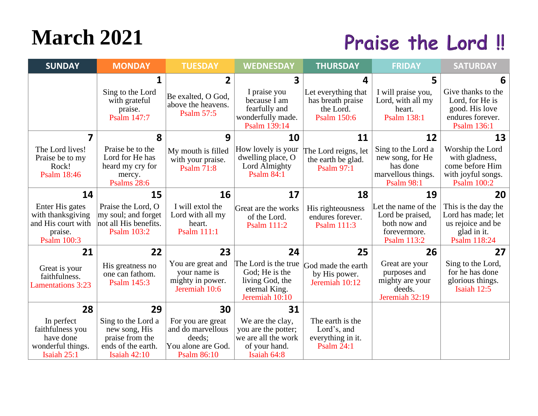## **March 2021**

#### Praise the Lord!!

| <b>SUNDAY</b>                                                                        | <b>MONDAY</b>                                                                                       | <b>TUESDAY</b>                                                                               | <b>WEDNESDAY</b>                                                                               | <b>THURSDAY</b>                                                             | <b>FRIDAY</b>                                                                                 | <b>SATURDAY</b>                                                                                   |
|--------------------------------------------------------------------------------------|-----------------------------------------------------------------------------------------------------|----------------------------------------------------------------------------------------------|------------------------------------------------------------------------------------------------|-----------------------------------------------------------------------------|-----------------------------------------------------------------------------------------------|---------------------------------------------------------------------------------------------------|
|                                                                                      | 1                                                                                                   | $\overline{2}$                                                                               | $\overline{\mathbf{3}}$                                                                        | 4                                                                           | 5                                                                                             | 6                                                                                                 |
|                                                                                      | Sing to the Lord<br>with grateful<br>praise.<br>Psalm 147:7                                         | Be exalted, O God,<br>above the heavens.<br><b>Psalm 57:5</b>                                | I praise you<br>because I am<br>fearfully and<br>wonderfully made.<br>Psalm 139:14             | Let everything that<br>has breath praise<br>the Lord.<br><b>Psalm 150:6</b> | I will praise you,<br>Lord, with all my<br>heart.<br>Psalm 138:1                              | Give thanks to the<br>Lord, for He is<br>good. His love<br>endures forever.<br>Psalm 136:1        |
| 7                                                                                    | 8                                                                                                   | 9                                                                                            | 10                                                                                             | 11                                                                          | 12                                                                                            | 13                                                                                                |
| The Lord lives!<br>Praise be to my<br>Rock!<br><b>Psalm 18:46</b>                    | Praise be to the<br>Lord for He has<br>heard my cry for<br>mercy.<br>Psalms 28:6                    | My mouth is filled<br>with your praise.<br><b>Psalm 71:8</b>                                 | How lovely is your<br>dwelling place, O<br>Lord Almighty<br><b>Psalm 84:1</b>                  | The Lord reigns, let<br>the earth be glad.<br><b>Psalm 97:1</b>             | Sing to the Lord a<br>new song, for He<br>has done<br>marvellous things.<br><b>Psalm 98:1</b> | Worship the Lord<br>with gladness,<br>come before Him<br>with joyful songs.<br><b>Psalm 100:2</b> |
| 14                                                                                   | 15                                                                                                  | 16                                                                                           | 17                                                                                             | 18                                                                          | 19                                                                                            | 20                                                                                                |
| Enter His gates<br>with thanksgiving<br>and His court with<br>praise.<br>Psalm 100:3 | Praise the Lord, O<br>my soul; and forget<br>not all His benefits.<br>Psalm 103:2                   | I will extol the<br>Lord with all my<br>heart.<br>Psalm 111:1                                | Great are the works<br>of the Lord.<br>Psalm 111:2                                             | His righteousness<br>endures forever.<br>Psalm 111:3                        | Let the name of the<br>Lord be praised,<br>both now and<br>forevermore.<br>Psalm 113:2        | This is the day the<br>Lord has made; let<br>us rejoice and be<br>glad in it.<br>Psalm 118:24     |
| 21                                                                                   | 22                                                                                                  | 23                                                                                           | 24                                                                                             | 25                                                                          | 26                                                                                            | 27                                                                                                |
| Great is your<br>faithfulness.<br><b>Lamentations</b> 3:23                           | His greatness no<br>one can fathom.<br>Psalm 145:3                                                  | You are great and<br>your name is<br>mighty in power.<br>Jeremiah 10:6                       | The Lord is the true<br>God; He is the<br>living God, the<br>eternal King.<br>Jeremiah 10:10   | God made the earth<br>by His power.<br>Jeremiah 10:12                       | Great are your<br>purposes and<br>mighty are your<br>deeds.<br>Jeremiah 32:19                 | Sing to the Lord,<br>for he has done<br>glorious things.<br>Isaiah 12:5                           |
| 28                                                                                   | 29                                                                                                  | 30                                                                                           | 31                                                                                             |                                                                             |                                                                                               |                                                                                                   |
| In perfect<br>faithfulness you<br>have done<br>wonderful things.<br>Isaiah 25:1      | Sing to the Lord a<br>new song, His<br>praise from the<br>ends of the earth.<br><b>Isaiah 42:10</b> | For you are great<br>and do marvellous<br>deeds;<br>You alone are God.<br><b>Psalm 86:10</b> | We are the clay,<br>you are the potter;<br>we are all the work<br>of your hand.<br>Isaiah 64:8 | The earth is the<br>Lord's, and<br>everything in it.<br><b>Psalm 24:1</b>   |                                                                                               |                                                                                                   |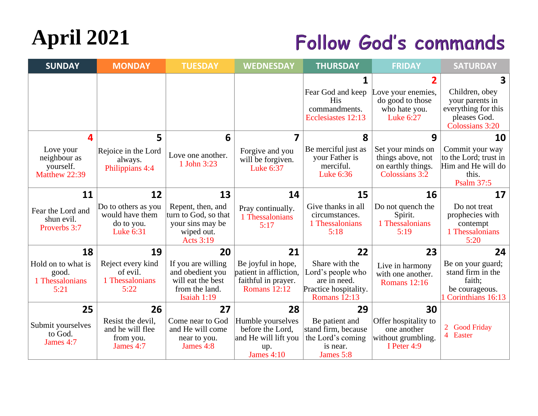# **April 2021**

#### **Follow God's commands**

| <b>SUNDAY</b>                                           | <b>MONDAY</b>                                                     | <b>TUESDAY</b>                                                                                  | <b>WEDNESDAY</b>                                                                           | <b>THURSDAY</b>                                                                                     | <b>FRIDAY</b>                                                                  | <b>SATURDAY</b>                                                                              |
|---------------------------------------------------------|-------------------------------------------------------------------|-------------------------------------------------------------------------------------------------|--------------------------------------------------------------------------------------------|-----------------------------------------------------------------------------------------------------|--------------------------------------------------------------------------------|----------------------------------------------------------------------------------------------|
|                                                         |                                                                   |                                                                                                 |                                                                                            |                                                                                                     |                                                                                | $\mathbf{3}$                                                                                 |
|                                                         |                                                                   |                                                                                                 |                                                                                            | Fear God and keep<br><b>His</b><br>commandments.<br>Ecclesiastes 12:13                              | Love your enemies,<br>do good to those<br>who hate you.<br>Luke 6:27           | Children, obey<br>your parents in<br>everything for this<br>pleases God.<br>Colossians 3:20  |
| Δ.                                                      | 5                                                                 | 6                                                                                               | 7                                                                                          | 8                                                                                                   | 9                                                                              | 10                                                                                           |
| Love your<br>neighbour as<br>yourself.<br>Matthew 22:39 | Rejoice in the Lord<br>always.<br>Philippians 4:4                 | Love one another.<br>1 John 3:23                                                                | Forgive and you<br>will be forgiven.<br>Luke 6:37                                          | Be merciful just as<br>your Father is<br>merciful.<br>Luke 6:36                                     | Set your minds on<br>things above, not<br>on earthly things.<br>Colossians 3:2 | Commit your way<br>to the Lord; trust in<br>Him and He will do<br>this.<br><b>Psalm 37:5</b> |
| 11                                                      | 12                                                                | 13                                                                                              | 14                                                                                         | 15                                                                                                  | 16                                                                             | 17                                                                                           |
| Fear the Lord and<br>shun evil.<br>Proverbs 3:7         | Do to others as you<br>would have them<br>do to you.<br>Luke 6:31 | Repent, then, and<br>turn to God, so that<br>your sins may be<br>wiped out.<br><b>Acts 3:19</b> | Pray continually.<br>1 Thessalonians<br>5:17                                               | Give thanks in all<br>circumstances.<br>1 Thessalonians<br>5:18                                     | Do not quench the<br>Spirit.<br>1 Thessalonians<br>5:19                        | Do not treat<br>prophecies with<br>contempt<br>1 Thessalonians<br>5:20                       |
| 18                                                      | 19                                                                | 20                                                                                              | 21                                                                                         | 22                                                                                                  | 23                                                                             | 24                                                                                           |
| Hold on to what is<br>good.<br>1 Thessalonians<br>5:21  | Reject every kind<br>of evil.<br>1 Thessalonians<br>5:22          | If you are willing<br>and obedient you<br>will eat the best<br>from the land.<br>Isaiah 1:19    | Be joyful in hope,<br>patient in affliction,<br>faithful in prayer.<br><b>Romans</b> 12:12 | Share with the<br>Lord's people who<br>are in need.<br>Practice hospitality.<br><b>Romans</b> 12:13 | Live in harmony<br>with one another.<br><b>Romans</b> 12:16                    | Be on your guard;<br>stand firm in the<br>faith;<br>be courageous.<br>1 Corinthians 16:13    |
| 25                                                      | 26                                                                | 27                                                                                              | 28                                                                                         | 29                                                                                                  | 30                                                                             |                                                                                              |
| Submit yourselves<br>to God.<br>James 4:7               | Resist the devil.<br>and he will flee<br>from you.<br>James 4:7   | Come near to God<br>and He will come<br>near to you.<br>James 4:8                               | Humble yourselves<br>before the Lord,<br>and He will lift you<br>up.<br><b>James 4:10</b>  | Be patient and<br>stand firm, because<br>the Lord's coming<br>is near.<br>James 5:8                 | Offer hospitality to<br>one another<br>without grumbling.<br>I Peter 4:9       | <b>Good Friday</b><br>4 Easter                                                               |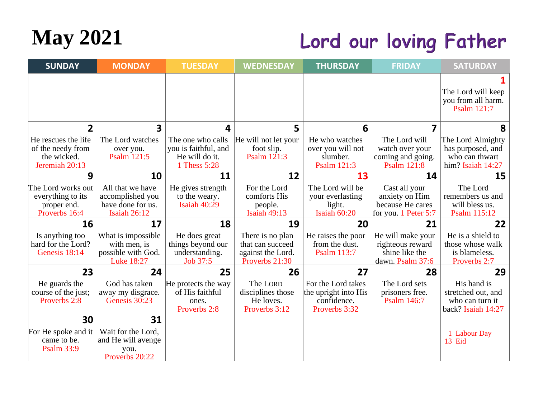

### Lord our loving Father

| <b>SUNDAY</b>                                                             | <b>MONDAY</b>                                                             | <b>TUESDAY</b>                                                              | <b>WEDNESDAY</b>                                                            | <b>THURSDAY</b>                                                            | <b>FRIDAY</b>                                                               | <b>SATURDAY</b>                                                               |
|---------------------------------------------------------------------------|---------------------------------------------------------------------------|-----------------------------------------------------------------------------|-----------------------------------------------------------------------------|----------------------------------------------------------------------------|-----------------------------------------------------------------------------|-------------------------------------------------------------------------------|
|                                                                           |                                                                           |                                                                             |                                                                             |                                                                            |                                                                             | The Lord will keep<br>you from all harm.<br>Psalm 121:7                       |
| $\overline{2}$                                                            | 3                                                                         | 4                                                                           | 5                                                                           | 6                                                                          | 7                                                                           | 8                                                                             |
| He rescues the life<br>of the needy from<br>the wicked.<br>Jeremiah 20:13 | The Lord watches<br>over you.<br>Psalm 121:5                              | The one who calls<br>you is faithful, and<br>He will do it.<br>1 Thess 5:28 | He will not let your<br>foot slip.<br>Psalm 121:3                           | He who watches<br>over you will not<br>slumber.<br>Psalm 121:3             | The Lord will<br>watch over your<br>coming and going.<br><b>Psalm 121:8</b> | The Lord Almighty<br>has purposed, and<br>who can thwart<br>him? Isaiah 14:27 |
| 9                                                                         | 10                                                                        | 11                                                                          | 12                                                                          | 13                                                                         | 14                                                                          | 15                                                                            |
| The Lord works out<br>everything to its<br>proper end.<br>Proverbs 16:4   | All that we have<br>accomplished you<br>have done for us.<br>Isaiah 26:12 | He gives strength<br>to the weary.<br>Isaiah 40:29                          | For the Lord<br>comforts His<br>people.<br><b>Isaiah 49:13</b>              | The Lord will be<br>your everlasting<br>light.<br>Isaiah 60:20             | Cast all your<br>anxiety on Him<br>because He cares<br>for you. 1 Peter 5:7 | The Lord<br>remembers us and<br>will bless us.<br>Psalm 115:12                |
| 16                                                                        | 17                                                                        | 18                                                                          | 19                                                                          | 20                                                                         | 21                                                                          | 22                                                                            |
| Is anything too<br>hard for the Lord?<br>Genesis 18:14                    | What is impossible<br>with men, is<br>possible with God.<br>Luke 18:27    | He does great<br>things beyond our<br>understanding.<br>Job 37:5            | There is no plan<br>that can succeed<br>against the Lord.<br>Proverbs 21:30 | He raises the poor<br>from the dust.<br>Psalm 113:7                        | He will make your<br>righteous reward<br>shine like the<br>dawn. Psalm 37:6 | He is a shield to<br>those whose walk<br>is blameless.<br>Proverbs 2:7        |
| 23                                                                        | 24                                                                        | 25                                                                          | 26                                                                          | 27                                                                         | 28                                                                          | 29                                                                            |
| He guards the<br>course of the just;<br>Proverbs 2:8                      | God has taken<br>away my disgrace.<br>Genesis 30:23                       | He protects the way<br>of His faithful<br>ones.<br>Proverbs 2:8             | The LORD<br>disciplines those<br>He loves.<br>Proverbs 3:12                 | For the Lord takes<br>the upright into His<br>confidence.<br>Proverbs 3:32 | The Lord sets<br>prisoners free.<br>Psalm 146:7                             | His hand is<br>stretched out, and<br>who can turn it<br>back? Isaiah 14:27    |
| 30                                                                        | 31                                                                        |                                                                             |                                                                             |                                                                            |                                                                             |                                                                               |
| For He spoke and it<br>came to be.<br><b>Psalm 33:9</b>                   | Wait for the Lord,<br>and He will avenge<br>you.<br>Proverbs 20:22        |                                                                             |                                                                             |                                                                            |                                                                             | <b>Labour Day</b><br>13 Eid                                                   |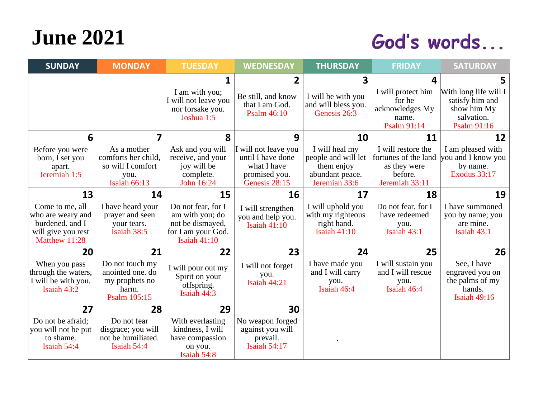## **June 2021**

#### God's words...

| <b>SUNDAY</b>                                                                                  | <b>MONDAY</b>                                                                          | <b>TUESDAY</b>                                                                                    | <b>WEDNESDAY</b>                                                                           | <b>THURSDAY</b>                                                                         | <b>FRIDAY</b>                                                                           | <b>SATURDAY</b>                                                                      |
|------------------------------------------------------------------------------------------------|----------------------------------------------------------------------------------------|---------------------------------------------------------------------------------------------------|--------------------------------------------------------------------------------------------|-----------------------------------------------------------------------------------------|-----------------------------------------------------------------------------------------|--------------------------------------------------------------------------------------|
|                                                                                                |                                                                                        | 1                                                                                                 | $\mathbf{2}$                                                                               | 3                                                                                       | 4                                                                                       | 5.                                                                                   |
|                                                                                                |                                                                                        | I am with you;<br>I will not leave you<br>nor forsake you.<br>Joshua 1:5                          | Be still, and know<br>that I am God.<br>Psalm 46:10                                        | I will be with you<br>and will bless you.<br>Genesis 26:3                               | I will protect him<br>for he<br>acknowledges My<br>name.<br>Psalm 91:14                 | With long life will I<br>satisfy him and<br>show him My<br>salvation.<br>Psalm 91:16 |
| 6                                                                                              | 7                                                                                      | 8                                                                                                 | 9                                                                                          | 10                                                                                      | 11                                                                                      | 12                                                                                   |
| Before you were<br>born, I set you<br>apart.<br>Jeremiah 1:5                                   | As a mother<br>comforts her child,<br>so will I comfort<br>you.<br><b>Isaiah 66:13</b> | Ask and you will<br>receive, and your<br>joy will be<br>complete.<br>John 16:24                   | I will not leave you<br>until I have done<br>what I have<br>promised you.<br>Genesis 28:15 | I will heal my<br>people and will let<br>them enjoy<br>abundant peace.<br>Jeremiah 33:6 | I will restore the<br>fortunes of the land<br>as they were<br>before.<br>Jeremiah 33:11 | I am pleased with<br>you and I know you<br>by name.<br><b>Exodus 33:17</b>           |
| 13                                                                                             | 14                                                                                     | 15                                                                                                | 16                                                                                         | 17                                                                                      | 18                                                                                      | 19                                                                                   |
| Come to me, all<br>who are weary and<br>burdened, and I<br>will give you rest<br>Matthew 11:28 | I have heard your<br>prayer and seen<br>your tears.<br>Isaiah 38:5                     | Do not fear, for I<br>am with you; do<br>not be dismayed,<br>for I am your God.<br>Isaiah $41:10$ | I will strengthen<br>you and help you.<br><b>Isaiah 41:10</b>                              | I will uphold you<br>with my righteous<br>right hand.<br>Isaiah $41:10$                 | Do not fear, for I<br>have redeemed<br>you.<br>Isaiah 43:1                              | I have summoned<br>you by name; you<br>are mine.<br>Isaiah 43:1                      |
| 20                                                                                             | 21                                                                                     | 22                                                                                                | 23                                                                                         | 24                                                                                      | 25                                                                                      | 26                                                                                   |
| When you pass<br>through the waters,<br>I will be with you.<br>Isaiah 43:2                     | Do not touch my<br>anointed one. do<br>my prophets no<br>harm.<br>Psalm 105:15         | I will pour out my<br>Spirit on your<br>offspring.<br>Isaiah 44:3                                 | I will not forget<br>you.<br>Isaiah 44:21                                                  | I have made you<br>and I will carry<br>you.<br>Isaiah 46:4                              | I will sustain you<br>and I will rescue<br>you.<br>Isaiah 46:4                          | See, I have<br>engraved you on<br>the palms of my<br>hands.<br><b>Isaiah 49:16</b>   |
| 27                                                                                             | 28                                                                                     | 29                                                                                                | 30                                                                                         |                                                                                         |                                                                                         |                                                                                      |
| Do not be afraid;<br>you will not be put<br>to shame.<br>Isaiah 54:4                           | Do not fear<br>disgrace; you will<br>not be humiliated.<br>Isaiah 54:4                 | With everlasting<br>kindness, I will<br>have compassion<br>on you.<br>Isaiah 54:8                 | No weapon forged<br>against you will<br>prevail.<br><b>Isaiah 54:17</b>                    |                                                                                         |                                                                                         |                                                                                      |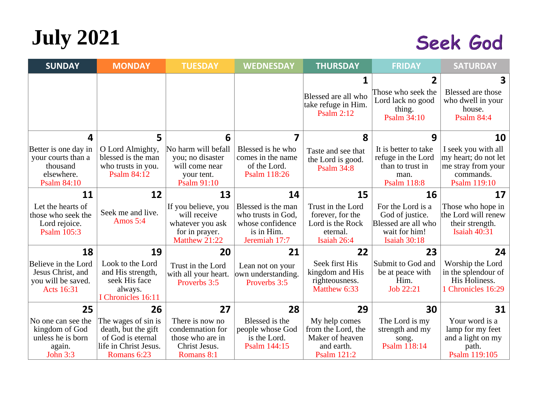# **July 2021**

#### Seek God

| <b>SUNDAY</b>                                                                              | <b>MONDAY</b>                                                                                           | <b>TUESDAY</b>                                                                             | <b>WEDNESDAY</b>                                                                            | <b>THURSDAY</b>                                                                      | <b>FRIDAY</b>                                                                                | <b>SATURDAY</b>                                                                                |
|--------------------------------------------------------------------------------------------|---------------------------------------------------------------------------------------------------------|--------------------------------------------------------------------------------------------|---------------------------------------------------------------------------------------------|--------------------------------------------------------------------------------------|----------------------------------------------------------------------------------------------|------------------------------------------------------------------------------------------------|
|                                                                                            |                                                                                                         |                                                                                            |                                                                                             | Blessed are all who<br>take refuge in Him.<br><b>Psalm 2:12</b>                      | Those who seek the<br>Lord lack no good<br>thing.<br>Psalm 34:10                             | 3<br>Blessed are those<br>who dwell in your<br>house.<br><b>Psalm 84:4</b>                     |
| 4                                                                                          | 5                                                                                                       | 6                                                                                          | 7                                                                                           | 8                                                                                    | 9                                                                                            | 10                                                                                             |
| Better is one day in<br>your courts than a<br>thousand<br>elsewhere.<br><b>Psalm 84:10</b> | O Lord Almighty,<br>blessed is the man<br>who trusts in you.<br><b>Psalm 84:12</b>                      | No harm will befall<br>you; no disaster<br>will come near<br>your tent.<br>Psalm 91:10     | Blessed is he who<br>comes in the name<br>of the Lord.<br>Psalm 118:26                      | Taste and see that<br>the Lord is good.<br><b>Psalm 34:8</b>                         | It is better to take<br>refuge in the Lord<br>than to trust in<br>man.<br><b>Psalm 118:8</b> | I seek you with all<br>my heart; do not let<br>me stray from your<br>commands.<br>Psalm 119:10 |
| 11                                                                                         | 12                                                                                                      | 13                                                                                         | 14                                                                                          | 15                                                                                   | 16                                                                                           | 17                                                                                             |
| Let the hearts of<br>those who seek the<br>Lord rejoice.<br>Psalm 105:3                    | Seek me and live.<br>Amos 5:4                                                                           | If you believe, you<br>will receive<br>whatever you ask<br>for in prayer.<br>Matthew 21:22 | Blessed is the man<br>who trusts in God,<br>whose confidence<br>is in Him.<br>Jeremiah 17:7 | Trust in the Lord<br>forever, for the<br>Lord is the Rock<br>eternal.<br>Isaiah 26:4 | For the Lord is a<br>God of justice.<br>Blessed are all who<br>wait for him!<br>Isaiah 30:18 | Those who hope in<br>the Lord will renew<br>their strength.<br>Isaiah 40:31                    |
| 18                                                                                         | 19                                                                                                      | 20                                                                                         | 21                                                                                          | 22                                                                                   | 23                                                                                           | 24                                                                                             |
| Believe in the Lord<br>Jesus Christ, and<br>you will be saved.<br><b>Acts</b> 16:31        | Look to the Lord<br>and His strength,<br>seek His face<br>always.<br>I Chronicles 16:11                 | Trust in the Lord<br>with all your heart.<br>Proverbs 3:5                                  | Lean not on your<br>own understanding.<br>Proverbs 3:5                                      | Seek first His<br>kingdom and His<br>righteousness.<br>Matthew 6:33                  | Submit to God and<br>be at peace with<br>Him.<br>Job 22:21                                   | Worship the Lord<br>in the splendour of<br>His Holiness.<br>1 Chronicles 16:29                 |
| 25                                                                                         | 26                                                                                                      | 27                                                                                         | 28                                                                                          | 29                                                                                   | 30                                                                                           | 31                                                                                             |
| No one can see the<br>kingdom of God<br>unless he is born<br>again.<br><b>John 3:3</b>     | The wages of sin is<br>death, but the gift<br>of God is eternal<br>life in Christ Jesus.<br>Romans 6:23 | There is now no<br>condemnation for<br>those who are in<br>Christ Jesus.<br>Romans 8:1     | Blessed is the<br>people whose God<br>is the Lord.<br>Psalm 144:15                          | My help comes<br>from the Lord, the<br>Maker of heaven<br>and earth.<br>Psalm 121:2  | The Lord is my<br>strength and my<br>song.<br>Psalm 118:14                                   | Your word is a<br>lamp for my feet<br>and a light on my<br>path.<br>Psalm 119:105              |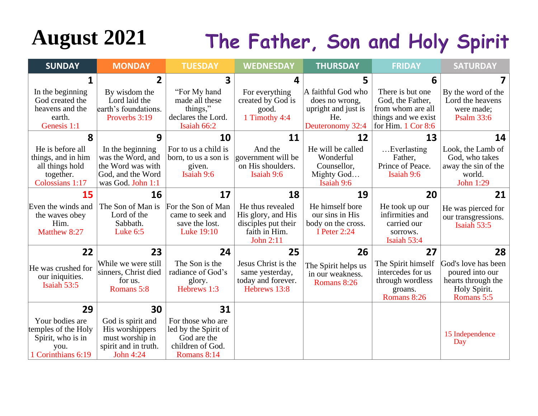# August 2021 The Father, Son and Holy Spirit

| <b>SUNDAY</b>                                                                             | <b>MONDAY</b>                                                                                        | <b>TUESDAY</b>                                                                              | <b>WEDNESDAY</b>                                                                            | <b>THURSDAY</b>                                                                        | <b>FRIDAY</b>                                                                                                     | <b>SATURDAY</b>                                                                            |
|-------------------------------------------------------------------------------------------|------------------------------------------------------------------------------------------------------|---------------------------------------------------------------------------------------------|---------------------------------------------------------------------------------------------|----------------------------------------------------------------------------------------|-------------------------------------------------------------------------------------------------------------------|--------------------------------------------------------------------------------------------|
| 1                                                                                         | $\overline{2}$                                                                                       | 3                                                                                           | 4                                                                                           | 5                                                                                      | 6                                                                                                                 |                                                                                            |
| In the beginning<br>God created the<br>heavens and the<br>earth.<br>Genesis 1:1           | By wisdom the<br>Lord laid the<br>earth's foundations.<br>Proverbs 3:19                              | "For My hand"<br>made all these<br>things,"<br>declares the Lord.<br>Isaiah 66:2            | For everything<br>created by God is<br>good.<br>1 Timothy 4:4                               | A faithful God who<br>does no wrong,<br>upright and just is<br>He.<br>Deuteronomy 32:4 | There is but one<br>God, the Father,<br>from whom are all<br>things and we exist<br>for Him. $1 \text{ Cor } 8.6$ | By the word of the<br>Lord the heavens<br>were made;<br><b>Psalm 33:6</b>                  |
| 8                                                                                         | 9                                                                                                    | 10                                                                                          | 11                                                                                          | 12                                                                                     | 13                                                                                                                | 14                                                                                         |
| He is before all<br>things, and in him<br>all things hold<br>together.<br>Colossians 1:17 | In the beginning<br>was the Word, and<br>the Word was with<br>God, and the Word<br>was God. John 1:1 | For to us a child is<br>born, to us a son is<br>given.<br>Isaiah 9:6                        | And the<br>government will be<br>on His shoulders.<br>Isaiah 9:6                            | He will be called<br>Wonderful<br>Counsellor,<br>Mighty God<br>Isaiah 9:6              | Everlasting<br>Father,<br>Prince of Peace.<br>Isaiah 9:6                                                          | Look, the Lamb of<br>God, who takes<br>away the sin of the<br>world.<br>John 1:29          |
| 15                                                                                        | 16                                                                                                   | 17                                                                                          | 18                                                                                          | 19                                                                                     | 20                                                                                                                | 21                                                                                         |
| Even the winds and<br>the waves obey<br>Him.<br>Matthew 8:27                              | The Son of Man is<br>Lord of the<br>Sabbath.<br>Luke $6:5$                                           | For the Son of Man<br>came to seek and<br>save the lost.<br>Luke 19:10                      | He thus revealed<br>His glory, and His<br>disciples put their<br>faith in Him.<br>John 2:11 | He himself bore<br>our sins in His<br>body on the cross.<br>I Peter 2:24               | He took up our<br>infirmities and<br>carried our<br>sorrows.<br>Isaiah 53:4                                       | He was pierced for<br>our transgressions.<br>Isaiah 53:5                                   |
| 22                                                                                        | 23                                                                                                   | 24                                                                                          | 25                                                                                          | 26                                                                                     | 27                                                                                                                | 28                                                                                         |
| He was crushed for<br>our iniquities.<br>Isaiah 53:5                                      | While we were still<br>sinners, Christ died<br>for us.<br>Romans 5:8                                 | The Son is the<br>radiance of God's<br>glory.<br>Hebrews 1:3                                | Jesus Christ is the<br>same yesterday,<br>today and forever.<br>Hebrews 13:8                | The Spirit helps us<br>in our weakness.<br>Romans 8:26                                 | The Spirit himself<br>intercedes for us<br>through wordless<br>groans.<br>Romans 8:26                             | God's love has been<br>poured into our<br>hearts through the<br>Holy Spirit.<br>Romans 5:5 |
| 29                                                                                        | 30                                                                                                   | 31                                                                                          |                                                                                             |                                                                                        |                                                                                                                   |                                                                                            |
| Your bodies are<br>temples of the Holy<br>Spirit, who is in<br>you.<br>1 Corinthians 6:19 | God is spirit and<br>His worshippers<br>must worship in<br>spirit and in truth.<br>John 4:24         | For those who are<br>led by the Spirit of<br>God are the<br>children of God.<br>Romans 8:14 |                                                                                             |                                                                                        |                                                                                                                   | 15 Independence<br>Day                                                                     |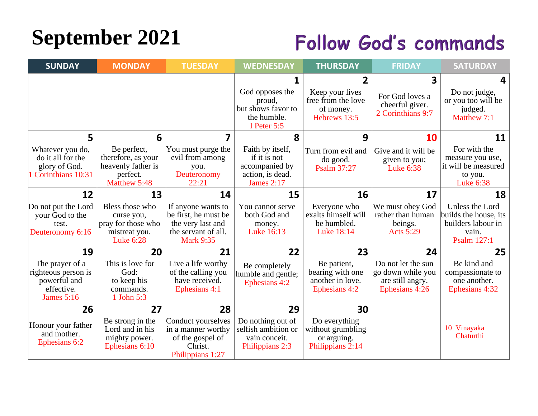# **September 2021**

#### **Follow God's commands**

| <b>SUNDAY</b>                                                                             | <b>MONDAY</b>                                                                            | <b>TUESDAY</b>                                                                                             | <b>WEDNESDAY</b>                                                              | <b>THURSDAY</b>                                                                      | <b>FRIDAY</b>                                                                 | <b>SATURDAY</b>                                                                        |
|-------------------------------------------------------------------------------------------|------------------------------------------------------------------------------------------|------------------------------------------------------------------------------------------------------------|-------------------------------------------------------------------------------|--------------------------------------------------------------------------------------|-------------------------------------------------------------------------------|----------------------------------------------------------------------------------------|
|                                                                                           |                                                                                          |                                                                                                            | God opposes the<br>proud,<br>but shows favor to<br>the humble.<br>I Peter 5:5 | $\overline{2}$<br>Keep your lives<br>free from the love<br>of money.<br>Hebrews 13:5 | 3<br>For God loves a<br>cheerful giver.<br>2 Corinthians 9:7                  | 4<br>Do not judge,<br>or you too will be<br>judged.<br>Matthew 7:1                     |
| 5<br>Whatever you do,<br>do it all for the<br>glory of God.                               | 6<br>Be perfect,<br>therefore, as your<br>heavenly father is                             | 7<br>You must purge the<br>evil from among<br>you.                                                         | 8<br>Faith by itself,<br>if it is not<br>accompanied by                       | 9<br>Turn from evil and<br>do good.<br>Psalm 37:27                                   | 10<br>Give and it will be<br>given to you;<br>Luke 6:38                       | 11<br>For with the<br>measure you use,<br>it will be measured                          |
| 1 Corinthians 10:31<br>12                                                                 | perfect.<br>Matthew 5:48<br>13                                                           | Deuteronomy<br>22:21<br>14                                                                                 | action, is dead.<br><b>James 2:17</b><br>15                                   | 16                                                                                   | 17                                                                            | to you.<br>Luke 6:38<br>18                                                             |
| Do not put the Lord<br>your God to the<br>test.<br>Deuteronomy 6:16                       | Bless those who<br>curse you,<br>pray for those who<br>mistreat you.<br><b>Luke 6:28</b> | If anyone wants to<br>be first, he must be<br>the very last and<br>the servant of all.<br><b>Mark 9:35</b> | You cannot serve<br>both God and<br>money.<br>Luke 16:13                      | Everyone who<br>exalts himself will<br>be humbled.<br>Luke 18:14                     | We must obey God<br>rather than human<br>beings.<br><b>Acts 5:29</b>          | Unless the Lord<br>builds the house, its<br>builders labour in<br>vain.<br>Psalm 127:1 |
| 19                                                                                        | 20                                                                                       | 21                                                                                                         | 22                                                                            | 23                                                                                   | 24                                                                            | 25                                                                                     |
| The prayer of a<br>righteous person is<br>powerful and<br>effective.<br><b>James</b> 5:16 | This is love for<br>God:<br>to keep his<br>commands.<br>1 John 5:3                       | Live a life worthy<br>of the calling you<br>have received.<br>Ephesians 4:1                                | Be completely<br>humble and gentle;<br>Ephesians 4:2                          | Be patient,<br>bearing with one<br>another in love.<br>Ephesians 4:2                 | Do not let the sun<br>go down while you<br>are still angry.<br>Ephesians 4:26 | Be kind and<br>compassionate to<br>one another.<br>Ephesians 4:32                      |
| 26                                                                                        | 27                                                                                       | 28                                                                                                         | 29                                                                            | 30                                                                                   |                                                                               |                                                                                        |
| Honour your father<br>and mother.<br>Ephesians 6:2                                        | Be strong in the<br>Lord and in his<br>mighty power.<br>Ephesians 6:10                   | Conduct yourselves<br>in a manner worthy<br>of the gospel of<br>Christ.<br>Philippians 1:27                | Do nothing out of<br>selfish ambition or<br>vain conceit.<br>Philippians 2:3  | Do everything<br>without grumbling<br>or arguing.<br>Philippians 2:14                |                                                                               | 10 Vinayaka<br>Chaturthi                                                               |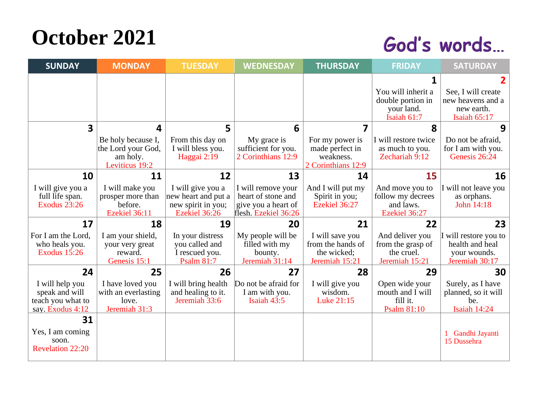## **October 2021**

#### God's words...

| <b>SUNDAY</b>                          | <b>MONDAY</b>                  | <b>TUESDAY</b>                            | <b>WEDNESDAY</b>                          | <b>THURSDAY</b>                  | <b>FRIDAY</b>                     | <b>SATURDAY</b>                     |
|----------------------------------------|--------------------------------|-------------------------------------------|-------------------------------------------|----------------------------------|-----------------------------------|-------------------------------------|
|                                        |                                |                                           |                                           |                                  |                                   |                                     |
|                                        |                                |                                           |                                           |                                  | You will inherit a                | See, I will create                  |
|                                        |                                |                                           |                                           |                                  | double portion in<br>your land.   | new heavens and a<br>new earth.     |
|                                        |                                |                                           |                                           |                                  | Isaiah 61:7                       | Isaiah 65:17                        |
| $\overline{\mathbf{3}}$                | 4                              | 5                                         | 6                                         | 7                                | 8                                 | 9                                   |
|                                        | Be holy because I,             | From this day on                          | My grace is                               | For my power is                  | I will restore twice              | Do not be afraid.                   |
|                                        | the Lord your God,<br>am holy. | I will bless you.<br>Haggai 2:19          | sufficient for you.<br>2 Corinthians 12:9 | made perfect in<br>weakness.     | as much to you.<br>Zechariah 9:12 | for I am with you.<br>Genesis 26:24 |
|                                        | Leviticus 19:2                 |                                           |                                           | 2 Corinthians 12:9               |                                   |                                     |
| 10                                     | 11                             | 12                                        | 13                                        | 14                               | 15                                | 16                                  |
| I will give you a                      | I will make you                | I will give you a                         | I will remove your                        | And I will put my                | And move you to                   | I will not leave you                |
| full life span.<br><b>Exodus 23:26</b> | prosper more than<br>before.   | new heart and put a<br>new spirit in you; | heart of stone and<br>give you a heart of | Spirit in you;<br>Ezekiel 36:27  | follow my decrees<br>and laws.    | as orphans.<br>John 14:18           |
|                                        | Ezekiel 36:11                  | Ezekiel 36:26                             | flesh. Ezekiel 36:26                      |                                  | Ezekiel 36:27                     |                                     |
| 17                                     | 18                             | 19                                        | 20                                        | 21                               | 22                                | 23                                  |
| For I am the Lord,                     | I am your shield,              | In your distress                          | My people will be                         | I will save you                  | And deliver you                   | I will restore you to               |
| who heals you.<br><b>Exodus 15:26</b>  | your very great<br>reward.     | you called and<br>I rescued you.          | filled with my<br>bounty.                 | from the hands of<br>the wicked; | from the grasp of<br>the cruel.   | health and heal<br>your wounds.     |
|                                        | Genesis 15:1                   | <b>Psalm 81:7</b>                         | Jeremiah 31:14                            | Jeremiah 15:21                   | Jeremiah 15:21                    | Jeremiah 30:17                      |
| 24                                     | 25                             | 26                                        | 27                                        | 28                               | 29                                | 30                                  |
| I will help you                        | I have loved you               | I will bring health                       | Do not be afraid for                      | I will give you                  | Open wide your                    | Surely, as I have                   |
| speak and will                         | with an everlasting            | and healing to it.<br>Jeremiah 33:6       | I am with you.                            | wisdom.                          | mouth and I will<br>fill it.      | planned, so it will                 |
| teach you what to<br>say. Exodus 4:12  | love.<br>Jeremiah 31:3         |                                           | Isaiah 43:5                               | Luke 21:15                       | Psalm 81:10                       | be.<br>Isaiah 14:24                 |
| 31                                     |                                |                                           |                                           |                                  |                                   |                                     |
| Yes, I am coming                       |                                |                                           |                                           |                                  |                                   | Gandhi Jayanti                      |
| soon.                                  |                                |                                           |                                           |                                  |                                   | 15 Dussehra                         |
| <b>Revelation 22:20</b>                |                                |                                           |                                           |                                  |                                   |                                     |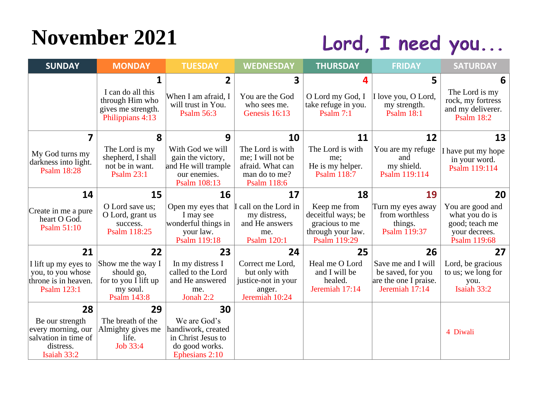# **November 2021**

## Lord, I need you...

| <b>SUNDAY</b>                                                                             | <b>MONDAY</b>                                                                       | <b>TUESDAY</b>                                                                               | <b>WEDNESDAY</b>                                                                     | <b>THURSDAY</b>                                                                           | <b>FRIDAY</b>                                                                      | <b>SATURDAY</b>                                                                       |
|-------------------------------------------------------------------------------------------|-------------------------------------------------------------------------------------|----------------------------------------------------------------------------------------------|--------------------------------------------------------------------------------------|-------------------------------------------------------------------------------------------|------------------------------------------------------------------------------------|---------------------------------------------------------------------------------------|
|                                                                                           | 1<br>I can do all this<br>through Him who<br>gives me strength.<br>Philippians 4:13 | $\overline{2}$<br>When I am afraid, I<br>will trust in You.<br><b>Psalm 56:3</b>             | 3<br>You are the God<br>who sees me.<br>Genesis 16:13                                | Δ<br>O Lord my God, I<br>take refuge in you.<br>Psalm $7:1$                               | 5<br>I love you, O Lord,<br>my strength.<br><b>Psalm 18:1</b>                      | 6<br>The Lord is my<br>rock, my fortress<br>and my deliverer.<br><b>Psalm 18:2</b>    |
| 7                                                                                         | 8<br>The Lord is my                                                                 | 9<br>With God we will                                                                        | 10<br>The Lord is with                                                               | 11<br>The Lord is with                                                                    | 12<br>You are my refuge                                                            | 13                                                                                    |
| My God turns my<br>darkness into light.<br><b>Psalm 18:28</b>                             | shepherd, I shall<br>not be in want.<br><b>Psalm 23:1</b>                           | gain the victory,<br>and He will trample<br>our enemies.<br>Psalm 108:13                     | me; I will not be<br>afraid. What can<br>man do to me?<br><b>Psalm 118:6</b>         | me;<br>He is my helper.<br><b>Psalm 118:7</b>                                             | and<br>my shield.<br>Psalm 119:114                                                 | I have put my hope<br>in your word.<br>Psalm 119:114                                  |
| 14                                                                                        | 15                                                                                  | 16                                                                                           | 17                                                                                   | 18                                                                                        | 19                                                                                 | 20                                                                                    |
| Create in me a pure<br>heart O God.<br><b>Psalm 51:10</b>                                 | O Lord save us;<br>O Lord, grant us<br>success.<br>Psalm 118:25                     | Open my eyes that<br>I may see<br>wonderful things in<br>your law.<br>Psalm 119:18           | call on the Lord in<br>my distress,<br>and He answers<br>me.<br>Psalm 120:1          | Keep me from<br>deceitful ways; be<br>gracious to me<br>through your law.<br>Psalm 119:29 | Turn my eyes away<br>from worthless<br>things.<br>Psalm 119:37                     | You are good and<br>what you do is<br>good; teach me<br>your decrees.<br>Psalm 119:68 |
| 21                                                                                        | 22                                                                                  | 23                                                                                           | 24                                                                                   | 25                                                                                        | 26                                                                                 | 27                                                                                    |
| I lift up my eyes to<br>you, to you whose<br>throne is in heaven.<br>Psalm 123:1          | Show me the way I<br>should go,<br>for to you I lift up<br>my soul.<br>Psalm 143:8  | In my distress I<br>called to the Lord<br>and He answered<br>me.<br>Jonah 2:2                | Correct me Lord,<br>but only with<br>justice-not in your<br>anger.<br>Jeremiah 10:24 | Heal me O Lord<br>and I will be<br>healed.<br>Jeremiah 17:14                              | Save me and I will<br>be saved, for you<br>are the one I praise.<br>Jeremiah 17:14 | Lord, be gracious<br>to us; we long for<br>you.<br>Isaiah 33:2                        |
| 28                                                                                        | 29                                                                                  | 30                                                                                           |                                                                                      |                                                                                           |                                                                                    |                                                                                       |
| Be our strength<br>every morning, our<br>salvation in time of<br>distress.<br>Isaiah 33:2 | The breath of the<br>Almighty gives me<br>life.<br>Job 33:4                         | We are God's<br>handiwork, created<br>in Christ Jesus to<br>do good works.<br>Ephesians 2:10 |                                                                                      |                                                                                           |                                                                                    | 4 Diwali                                                                              |